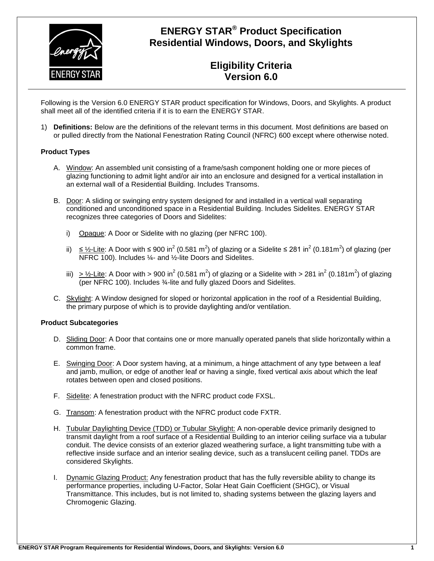

# **ENERGY STAR® Product Specification Residential Windows, Doors, and Skylights**

## **Eligibility Criteria Version 6.0**

Following is the Version 6.0 ENERGY STAR product specification for Windows, Doors, and Skylights. A product shall meet all of the identified criteria if it is to earn the ENERGY STAR.

1) **Definitions:** Below are the definitions of the relevant terms in this document. Most definitions are based on or pulled directly from the National Fenestration Rating Council (NFRC) 600 except where otherwise noted.

### **Product Types**

- A. Window: An assembled unit consisting of a frame/sash component holding one or more pieces of glazing functioning to admit light and/or air into an enclosure and designed for a vertical installation in an external wall of a Residential Building. Includes Transoms.
- B. Door: A sliding or swinging entry system designed for and installed in a vertical wall separating conditioned and unconditioned space in a Residential Building. Includes Sidelites. ENERGY STAR recognizes three categories of Doors and Sidelites:
	- i) Opaque: A Door or Sidelite with no glazing (per NFRC 100).
	- ii)  $\leq$  1⁄2-Lite: A Door with ≤ 900 in<sup>2</sup> (0.581 m<sup>2</sup>) of glazing or a Sidelite ≤ 281 in<sup>2</sup> (0.181m<sup>2</sup>) of glazing (per NFRC 100). Includes ¼- and ½-lite Doors and Sidelites.
	- iii)  $\geq$  1/2-Lite: A Door with > 900 in<sup>2</sup> (0.581 m<sup>2</sup>) of glazing or a Sidelite with > 281 in<sup>2</sup> (0.181m<sup>2</sup>) of glazing (per NFRC 100). Includes ¾-lite and fully glazed Doors and Sidelites.
- C. Skylight: A Window designed for sloped or horizontal application in the roof of a Residential Building, the primary purpose of which is to provide daylighting and/or ventilation.

#### **Product Subcategories**

- D. Sliding Door: A Door that contains one or more manually operated panels that slide horizontally within a common frame.
- E. Swinging Door: A Door system having, at a minimum, a hinge attachment of any type between a leaf and jamb, mullion, or edge of another leaf or having a single, fixed vertical axis about which the leaf rotates between open and closed positions.
- F. Sidelite: A fenestration product with the NFRC product code FXSL.
- G. Transom: A fenestration product with the NFRC product code FXTR.
- H. Tubular Daylighting Device (TDD) or Tubular Skylight: A non-operable device primarily designed to transmit daylight from a roof surface of a Residential Building to an interior ceiling surface via a tubular conduit. The device consists of an exterior glazed weathering surface, a light transmitting tube with a reflective inside surface and an interior sealing device, such as a translucent ceiling panel. TDDs are considered Skylights.
- I. Dynamic Glazing Product: Any fenestration product that has the fully reversible ability to change its performance properties, including U-Factor, Solar Heat Gain Coefficient (SHGC), or Visual Transmittance. This includes, but is not limited to, shading systems between the glazing layers and Chromogenic Glazing.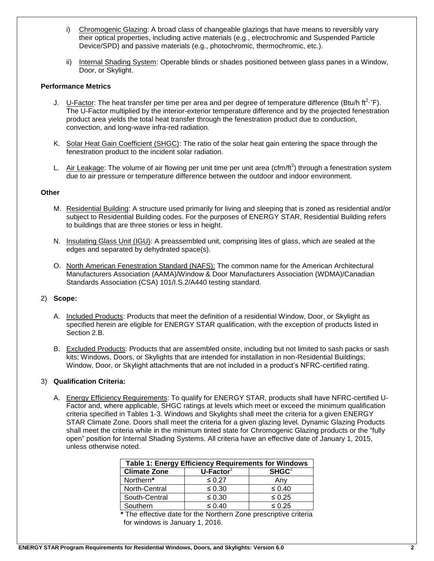- i) Chromogenic Glazing: A broad class of changeable glazings that have means to reversibly vary their optical properties, including active materials (e.g., electrochromic and Suspended Particle Device/SPD) and passive materials (e.g., photochromic, thermochromic, etc.).
- ii) Internal Shading System: Operable blinds or shades positioned between glass panes in a Window, Door, or Skylight.

### **Performance Metrics**

- J. U-Factor: The heat transfer per time per area and per degree of temperature difference (Btu/h ft<sup>2</sup>·°F). The U-Factor multiplied by the interior-exterior temperature difference and by the projected fenestration product area yields the total heat transfer through the fenestration product due to conduction, convection, and long-wave infra-red radiation.
- K. Solar Heat Gain Coefficient (SHGC): The ratio of the solar heat gain entering the space through the fenestration product to the incident solar radiation.
- L. Air Leakage: The volume of air flowing per unit time per unit area (cfm/ft<sup>2</sup>) through a fenestration system due to air pressure or temperature difference between the outdoor and indoor environment.

#### **Other**

- M. Residential Building: A structure used primarily for living and sleeping that is zoned as residential and/or subject to Residential Building codes. For the purposes of ENERGY STAR, Residential Building refers to buildings that are three stories or less in height.
- N. Insulating Glass Unit (IGU): A preassembled unit, comprising lites of glass, which are sealed at the edges and separated by dehydrated space(s).
- O. North American Fenestration Standard (NAFS): The common name for the American Architectural Manufacturers Association (AAMA)/Window & Door Manufacturers Association (WDMA)/Canadian Standards Association (CSA) 101/I.S.2/A440 testing standard.

#### 2) **Scope:**

- A. Included Products: Products that meet the definition of a residential Window, Door, or Skylight as specified herein are eligible for ENERGY STAR qualification, with the exception of products listed in Section 2.B.
- B. Excluded Products: Products that are assembled onsite, including but not limited to sash packs or sash kits; Windows, Doors, or Skylights that are intended for installation in non-Residential Buildings; Window, Door, or Skylight attachments that are not included in a product's NFRC-certified rating.

#### 3) **Qualification Criteria:**

A. Energy Efficiency Requirements: To qualify for ENERGY STAR, products shall have NFRC-certified U-Factor and, where applicable, SHGC ratings at levels which meet or exceed the minimum qualification criteria specified in Tables 1-3. Windows and Skylights shall meet the criteria for a given ENERGY STAR Climate Zone. Doors shall meet the criteria for a given glazing level. Dynamic Glazing Products shall meet the criteria while in the minimum tinted state for Chromogenic Glazing products or the "fully open" position for Internal Shading Systems. All criteria have an effective date of January 1, 2015, unless otherwise noted.

| Table 1: Energy Efficiency Requirements for Windows |                          |                   |  |
|-----------------------------------------------------|--------------------------|-------------------|--|
| <b>Climate Zone</b>                                 | $U$ -Factor <sup>1</sup> | SHGC <sup>2</sup> |  |
| Northern*                                           | $\leq 0.27$              | Anv               |  |
| North-Central                                       | $\leq 0.30$              | $\leq 0.40$       |  |
| South-Central                                       | $\leq 0.30$              | $\leq 0.25$       |  |
| Southern                                            | $\leq 0.40$              | $\leq 0.25$       |  |

**\*** The effective date for the Northern Zone prescriptive criteria for windows is January 1, 2016.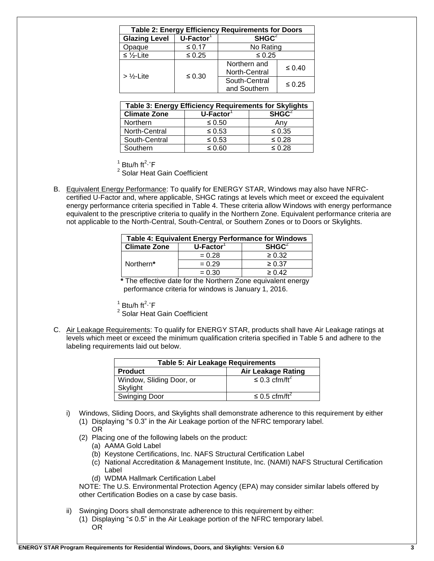| <b>Table 2: Energy Efficiency Requirements for Doors</b> |                                             |                               |             |
|----------------------------------------------------------|---------------------------------------------|-------------------------------|-------------|
| <b>Glazing Level</b>                                     | SHGC <sup>2</sup><br>$\overline{U}$ -Factor |                               |             |
| Opaque                                                   | ≤ 0.17                                      | No Rating                     |             |
| $\leq \frac{1}{2}$ -Lite                                 | $\leq 0.25$                                 | $\leq 0.25$                   |             |
| $>$ %-Lite                                               | $\leq 0.30$                                 | Northern and<br>North-Central | $\leq 0.40$ |
|                                                          |                                             | South-Central<br>and Southern | $\leq 0.25$ |

| Table 3: Energy Efficiency Requirements for Skylights |                       |                   |  |
|-------------------------------------------------------|-----------------------|-------------------|--|
| <b>Climate Zone</b>                                   | U-Factor <sup>1</sup> | SHGC <sup>2</sup> |  |
| Northern                                              | $\leq 0.50$           | Any               |  |
| North-Central                                         | $\leq 0.53$           | $\leq 0.35$       |  |
| South-Central                                         | $\leq 0.53$           | $\leq 0.28$       |  |
| Southern                                              | $\leq 0.60$           | $\leq 0.28$       |  |

 $1$  Btu/h ft<sup>2</sup>·°F

<sup>2</sup> Solar Heat Gain Coefficient

B. Equivalent Energy Performance: To qualify for ENERGY STAR, Windows may also have NFRCcertified U-Factor and, where applicable, SHGC ratings at levels which meet or exceed the equivalent energy performance criteria specified in Table 4. These criteria allow Windows with energy performance equivalent to the prescriptive criteria to qualify in the Northern Zone. Equivalent performance criteria are not applicable to the North-Central, South-Central, or Southern Zones or to Doors or Skylights.

| Table 4: Equivalent Energy Performance for Windows |                       |                   |  |
|----------------------------------------------------|-----------------------|-------------------|--|
| <b>Climate Zone</b>                                | U-Factor <sup>1</sup> | SHGC <sup>2</sup> |  |
| Northern*                                          | $= 0.28$              | $\geq 0.32$       |  |
|                                                    | $= 0.29$              | $\geq 0.37$       |  |
|                                                    | $= 0.30$              | > 0.42            |  |

**\*** The effective date for the Northern Zone equivalent energy performance criteria for windows is January 1, 2016.

 $1$  Btu/h ft<sup>2</sup>·°F

<sup>2</sup> Solar Heat Gain Coefficient

C. Air Leakage Requirements: To qualify for ENERGY STAR, products shall have Air Leakage ratings at levels which meet or exceed the minimum qualification criteria specified in Table 5 and adhere to the labeling requirements laid out below.

| <b>Table 5: Air Leakage Requirements</b>    |                                |  |  |
|---------------------------------------------|--------------------------------|--|--|
| <b>Air Leakage Rating</b><br><b>Product</b> |                                |  |  |
| Window, Sliding Door, or                    | $\leq$ 0.3 cfm/ft <sup>2</sup> |  |  |
| Skylight                                    |                                |  |  |
| <b>Swinging Door</b>                        | ≤ 0.5 cfm/ft <sup>2</sup>      |  |  |

- i) Windows, Sliding Doors, and Skylights shall demonstrate adherence to this requirement by either (1) Displaying "≤ 0.3" in the Air Leakage portion of the NFRC temporary label.
	- OR
	- (2) Placing one of the following labels on the product:
		- (a) AAMA Gold Label
		- (b) Keystone Certifications, Inc. NAFS Structural Certification Label
		- (c) National Accreditation & Management Institute, Inc. (NAMI) NAFS Structural Certification Label
		- (d) WDMA Hallmark Certification Label

NOTE: The U.S. Environmental Protection Agency (EPA) may consider similar labels offered by other Certification Bodies on a case by case basis.

- ii) Swinging Doors shall demonstrate adherence to this requirement by either:
	- (1) Displaying "≤ 0.5" in the Air Leakage portion of the NFRC temporary label. OR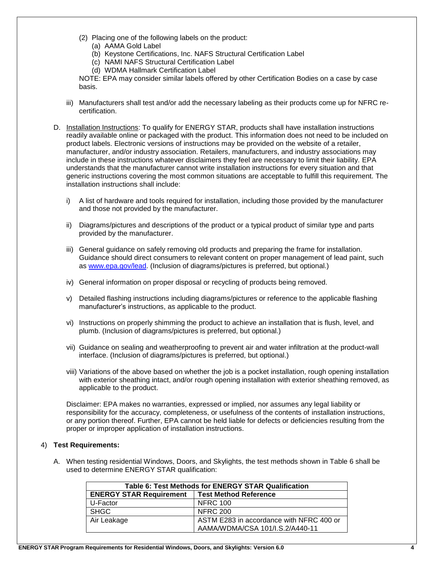- (2) Placing one of the following labels on the product:
	- (a) AAMA Gold Label
	- (b) Keystone Certifications, Inc. NAFS Structural Certification Label
	- (c) NAMI NAFS Structural Certification Label
	- (d) WDMA Hallmark Certification Label

NOTE: EPA may consider similar labels offered by other Certification Bodies on a case by case basis.

- iii) Manufacturers shall test and/or add the necessary labeling as their products come up for NFRC recertification.
- D. Installation Instructions: To qualify for ENERGY STAR, products shall have installation instructions readily available online or packaged with the product. This information does not need to be included on product labels. Electronic versions of instructions may be provided on the website of a retailer, manufacturer, and/or industry association. Retailers, manufacturers, and industry associations may include in these instructions whatever disclaimers they feel are necessary to limit their liability. EPA understands that the manufacturer cannot write installation instructions for every situation and that generic instructions covering the most common situations are acceptable to fulfill this requirement. The installation instructions shall include:
	- i) A list of hardware and tools required for installation, including those provided by the manufacturer and those not provided by the manufacturer.
	- ii) Diagrams/pictures and descriptions of the product or a typical product of similar type and parts provided by the manufacturer.
	- iii) General guidance on safely removing old products and preparing the frame for installation. Guidance should direct consumers to relevant content on proper management of lead paint, such as [www.epa.gov/lead.](http://www.epa.gov/lead) (Inclusion of diagrams/pictures is preferred, but optional.)
	- iv) General information on proper disposal or recycling of products being removed.
	- v) Detailed flashing instructions including diagrams/pictures or reference to the applicable flashing manufacturer's instructions, as applicable to the product.
	- vi) Instructions on properly shimming the product to achieve an installation that is flush, level, and plumb. (Inclusion of diagrams/pictures is preferred, but optional.)
	- vii) Guidance on sealing and weatherproofing to prevent air and water infiltration at the product-wall interface. (Inclusion of diagrams/pictures is preferred, but optional.)
	- viii) Variations of the above based on whether the job is a pocket installation, rough opening installation with exterior sheathing intact, and/or rough opening installation with exterior sheathing removed, as applicable to the product.

Disclaimer: EPA makes no warranties, expressed or implied, nor assumes any legal liability or responsibility for the accuracy, completeness, or usefulness of the contents of installation instructions, or any portion thereof. Further, EPA cannot be held liable for defects or deficiencies resulting from the proper or improper application of installation instructions.

#### 4) **Test Requirements:**

A. When testing residential Windows, Doors, and Skylights, the test methods shown in Table 6 shall be used to determine ENERGY STAR qualification:

| <b>Table 6: Test Methods for ENERGY STAR Qualification</b>     |                                          |  |
|----------------------------------------------------------------|------------------------------------------|--|
| <b>ENERGY STAR Requirement</b><br><b>Test Method Reference</b> |                                          |  |
| U-Factor                                                       | <b>NFRC 100</b>                          |  |
| SHGC                                                           | <b>NFRC 200</b>                          |  |
| Air Leakage                                                    | ASTM E283 in accordance with NFRC 400 or |  |
|                                                                | AAMA/WDMA/CSA 101/I.S.2/A440-11          |  |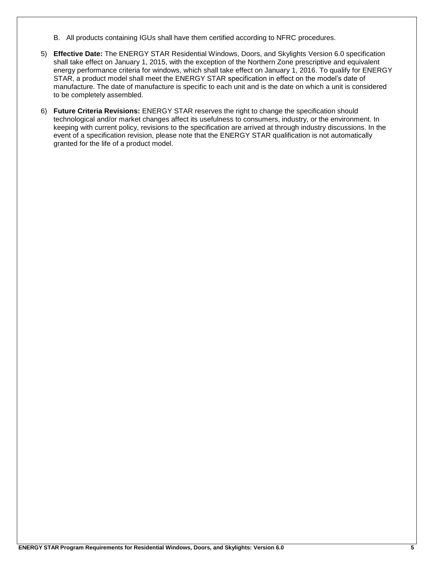- B. All products containing IGUs shall have them certified according to NFRC procedures.
- 5) **Effective Date:** The ENERGY STAR Residential Windows, Doors, and Skylights Version 6.0 specification shall take effect on January 1, 2015, with the exception of the Northern Zone prescriptive and equivalent energy performance criteria for windows, which shall take effect on January 1, 2016. To qualify for ENERGY STAR, a product model shall meet the ENERGY STAR specification in effect on the model's date of manufacture. The date of manufacture is specific to each unit and is the date on which a unit is considered to be completely assembled.
- 6) **Future Criteria Revisions:** ENERGY STAR reserves the right to change the specification should technological and/or market changes affect its usefulness to consumers, industry, or the environment. In keeping with current policy, revisions to the specification are arrived at through industry discussions. In the event of a specification revision, please note that the ENERGY STAR qualification is not automatically granted for the life of a product model.